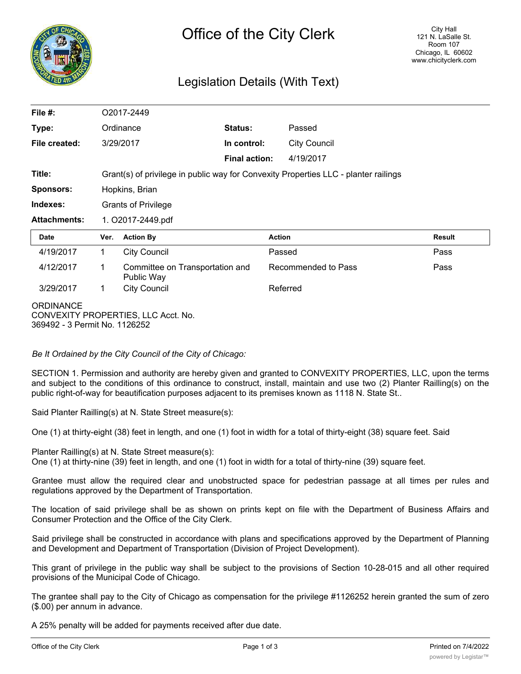

## Legislation Details (With Text)

| File $#$ :          |                                                                                     | O2017-2449                                    |                      |                     |               |  |
|---------------------|-------------------------------------------------------------------------------------|-----------------------------------------------|----------------------|---------------------|---------------|--|
| Type:               |                                                                                     | Ordinance                                     | Status:              | Passed              |               |  |
| File created:       |                                                                                     | 3/29/2017                                     | In control:          | <b>City Council</b> |               |  |
|                     |                                                                                     |                                               | <b>Final action:</b> | 4/19/2017           |               |  |
| Title:              | Grant(s) of privilege in public way for Convexity Properties LLC - planter railings |                                               |                      |                     |               |  |
| <b>Sponsors:</b>    | Hopkins, Brian                                                                      |                                               |                      |                     |               |  |
| Indexes:            |                                                                                     | <b>Grants of Privilege</b>                    |                      |                     |               |  |
| <b>Attachments:</b> | 1. O2017-2449.pdf                                                                   |                                               |                      |                     |               |  |
|                     |                                                                                     |                                               |                      |                     |               |  |
| Date                | Ver.                                                                                | <b>Action By</b>                              | <b>Action</b>        |                     | <b>Result</b> |  |
| 4/19/2017           | 1                                                                                   | <b>City Council</b>                           | Passed               |                     | Pass          |  |
| 4/12/2017           | 1                                                                                   | Committee on Transportation and<br>Public Way |                      | Recommended to Pass | Pass          |  |
| 3/29/2017           | $\mathbf 1$                                                                         | <b>City Council</b>                           |                      | Referred            |               |  |

*Be It Ordained by the City Council of the City of Chicago:*

SECTION 1. Permission and authority are hereby given and granted to CONVEXITY PROPERTIES, LLC, upon the terms and subject to the conditions of this ordinance to construct, install, maintain and use two (2) Planter Railling(s) on the public right-of-way for beautification purposes adjacent to its premises known as 1118 N. State St..

Said Planter Railling(s) at N. State Street measure(s):

One (1) at thirty-eight (38) feet in length, and one (1) foot in width for a total of thirty-eight (38) square feet. Said

Planter Railling(s) at N. State Street measure(s): One (1) at thirty-nine (39) feet in length, and one (1) foot in width for a total of thirty-nine (39) square feet.

Grantee must allow the required clear and unobstructed space for pedestrian passage at all times per rules and regulations approved by the Department of Transportation.

The location of said privilege shall be as shown on prints kept on file with the Department of Business Affairs and Consumer Protection and the Office of the City Clerk.

Said privilege shall be constructed in accordance with plans and specifications approved by the Department of Planning and Development and Department of Transportation (Division of Project Development).

This grant of privilege in the public way shall be subject to the provisions of Section 10-28-015 and all other required provisions of the Municipal Code of Chicago.

The grantee shall pay to the City of Chicago as compensation for the privilege #1126252 herein granted the sum of zero (\$.00) per annum in advance.

A 25% penalty will be added for payments received after due date.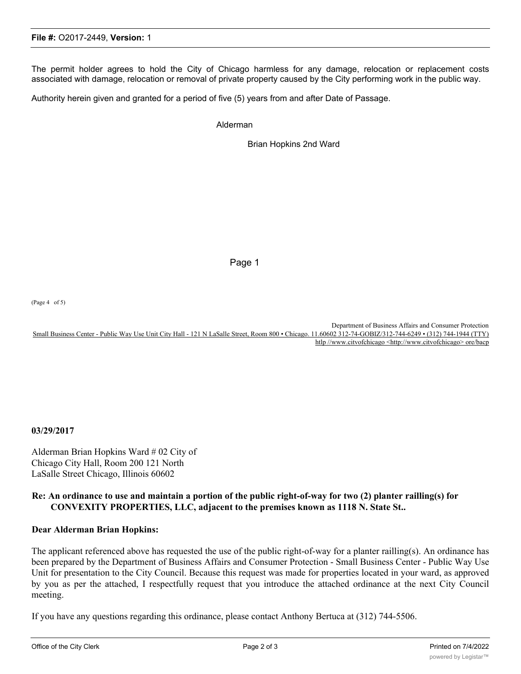The permit holder agrees to hold the City of Chicago harmless for any damage, relocation or replacement costs associated with damage, relocation or removal of private property caused by the City performing work in the public way.

Authority herein given and granted for a period of five (5) years from and after Date of Passage.

Alderman

Brian Hopkins 2nd Ward

Page 1

(Page 4 of 5)

Department of Business Affairs and Consumer Protection Small Business Center - Public Way Use Unit City Hall - 121 N LaSalle Street, Room 800 • Chicago. 11.60602 312-74-GOBIZ/312-744-6249 • (312) 744-1944 (TTY) htlp //www.citvofchicago <http://www.citvofchicago> ore/bacp

**03/29/2017**

Alderman Brian Hopkins Ward # 02 City of Chicago City Hall, Room 200 121 North LaSalle Street Chicago, Illinois 60602

## **Re: An ordinance to use and maintain a portion of the public right-of-way for two (2) planter railling(s) for CONVEXITY PROPERTIES, LLC, adjacent to the premises known as 1118 N. State St..**

## **Dear Alderman Brian Hopkins:**

The applicant referenced above has requested the use of the public right-of-way for a planter railling(s). An ordinance has been prepared by the Department of Business Affairs and Consumer Protection - Small Business Center - Public Way Use Unit for presentation to the City Council. Because this request was made for properties located in your ward, as approved by you as per the attached, I respectfully request that you introduce the attached ordinance at the next City Council meeting.

If you have any questions regarding this ordinance, please contact Anthony Bertuca at (312) 744-5506.